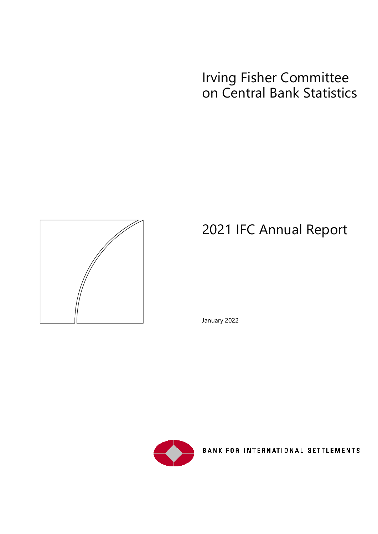# Irving Fisher Committee on Central Bank Statistics



January 2022

**BANK FOR INTERNATIONAL SETTLEMENTS** 



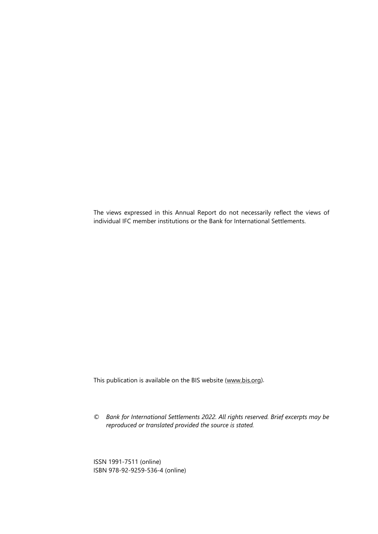The views expressed in this Annual Report do not necessarily reflect the views of individual IFC member institutions or the Bank for International Settlements.

This publication is available on the BIS website [\(www.bis.org\)](http://www.bis.org/).

*© Bank for International Settlements 2022. All rights reserved. Brief excerpts may be reproduced or translated provided the source is stated.*

ISSN 1991-7511 (online) ISBN 978-92-9259-536-4 (online)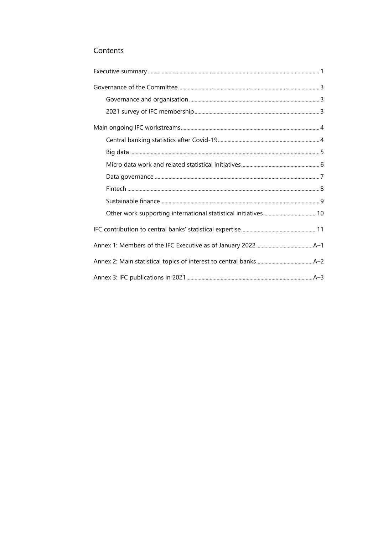## Contents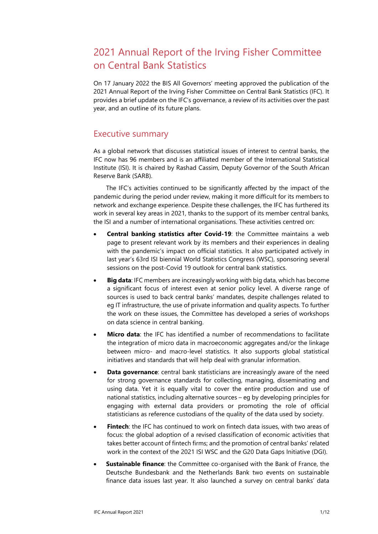## 2021 Annual Report of the Irving Fisher Committee on Central Bank Statistics

On 17 January 2022 the BIS All Governors' meeting approved the publication of the 2021 Annual Report of the Irving Fisher Committee on Central Bank Statistics (IFC). It provides a brief update on the IFC's governance, a review of its activities over the past year, and an outline of its future plans.

### <span id="page-3-0"></span>Executive summary

As a global network that discusses statistical issues of interest to central banks, the IFC now has 96 members and is an affiliated member of the International Statistical Institute (ISI). It is chaired by Rashad Cassim, Deputy Governor of the South African Reserve Bank (SARB).

The IFC's activities continued to be significantly affected by the impact of the pandemic during the period under review, making it more difficult for its members to network and exchange experience. Despite these challenges, the IFC has furthered its work in several key areas in 2021, thanks to the support of its member central banks, the ISI and a number of international organisations. These activities centred on:

- **Central banking statistics after Covid-19**: the Committee maintains a web page to present relevant work by its members and their experiences in dealing with the pandemic's impact on official statistics. It also participated actively in last year's 63rd ISI biennial World Statistics Congress (WSC), sponsoring several sessions on the post-Covid 19 outlook for central bank statistics.
- **Big data**: IFC members are increasingly working with big data, which has become a significant focus of interest even at senior policy level. A diverse range of sources is used to back central banks' mandates, despite challenges related to eg IT infrastructure, the use of private information and quality aspects. To further the work on these issues, the Committee has developed a series of workshops on data science in central banking.
- **Micro data**: the IFC has identified a number of recommendations to facilitate the integration of micro data in macroeconomic aggregates and/or the linkage between micro- and macro-level statistics. It also supports global statistical initiatives and standards that will help deal with granular information.
- **Data governance**: central bank statisticians are increasingly aware of the need for strong governance standards for collecting, managing, disseminating and using data. Yet it is equally vital to cover the entire production and use of national statistics, including alternative sources – eg by developing principles for engaging with external data providers or promoting the role of official statisticians as reference custodians of the quality of the data used by society.
- **Fintech:** the IFC has continued to work on fintech data issues, with two areas of focus: the global adoption of a revised classification of economic activities that takes better account of fintech firms; and the promotion of central banks' related work in the context of the 2021 ISI WSC and the G20 Data Gaps Initiative (DGI).
- **Sustainable finance**: the Committee co-organised with the Bank of France, the Deutsche Bundesbank and the Netherlands Bank two events on sustainable finance data issues last year. It also launched a survey on central banks' data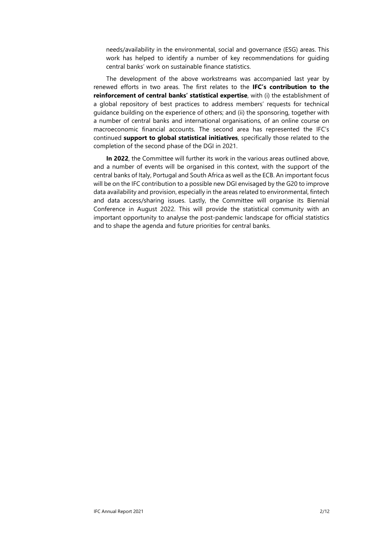needs/availability in the environmental, social and governance (ESG) areas. This work has helped to identify a number of key recommendations for guiding central banks' work on sustainable finance statistics.

The development of the above workstreams was accompanied last year by renewed efforts in two areas. The first relates to the **IFC's contribution to the reinforcement of central banks' statistical expertise**, with (i) the establishment of a global repository of best practices to address members' requests for technical guidance building on the experience of others; and (ii) the sponsoring, together with a number of central banks and international organisations, of an online course on macroeconomic financial accounts. The second area has represented the IFC's continued **support to global statistical initiatives**, specifically those related to the completion of the second phase of the DGI in 2021.

**In 2022**, the Committee will further its work in the various areas outlined above, and a number of events will be organised in this context, with the support of the central banks of Italy, Portugal and South Africa as well as the ECB. An important focus will be on the IFC contribution to a possible new DGI envisaged by the G20 to improve data availability and provision, especially in the areas related to environmental, fintech and data access/sharing issues. Lastly, the Committee will organise its Biennial Conference in August 2022. This will provide the statistical community with an important opportunity to analyse the post-pandemic landscape for official statistics and to shape the agenda and future priorities for central banks.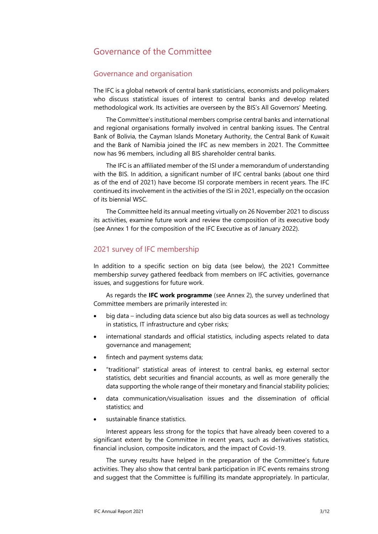### <span id="page-5-0"></span>Governance of the Committee

#### <span id="page-5-1"></span>Governance and organisation

The IFC is a global network of central bank statisticians, economists and policymakers who discuss statistical issues of interest to central banks and develop related methodological work. Its activities are overseen by the BIS's All Governors' Meeting.

The Committee's institutional members comprise central banks and international and regional organisations formally involved in central banking issues. The Central Bank of Bolivia, the Cayman Islands Monetary Authority, the Central Bank of Kuwait and the Bank of Namibia joined the IFC as new members in 2021. The Committee now has 96 members, including all BIS shareholder central banks.

The IFC is an affiliated member of the ISI under a memorandum of understanding with the BIS. In addition, a significant number of IFC central banks (about one third as of the end of 2021) have become ISI corporate members in recent years. The IFC continued its involvement in the activities of the ISI in 2021, especially on the occasion of its biennial WSC.

The Committee held its annual meeting virtually on 26 November 2021 to discuss its activities, examine future work and review the composition of its executive body (see Annex 1 for the composition of the IFC Executive as of January 2022).

#### <span id="page-5-2"></span>2021 survey of IFC membership

In addition to a specific section on big data (see below), the 2021 Committee membership survey gathered feedback from members on IFC activities, governance issues, and suggestions for future work.

As regards the **IFC work programme** (see Annex 2), the survey underlined that Committee members are primarily interested in:

- big data including data science but also big data sources as well as technology in statistics, IT infrastructure and cyber risks;
- international standards and official statistics, including aspects related to data governance and management;
- fintech and payment systems data;
- "traditional" statistical areas of interest to central banks, eg external sector statistics, debt securities and financial accounts, as well as more generally the data supporting the whole range of their monetary and financial stability policies;
- data communication/visualisation issues and the dissemination of official statistics; and
- sustainable finance statistics.

Interest appears less strong for the topics that have already been covered to a significant extent by the Committee in recent years, such as derivatives statistics, financial inclusion, composite indicators, and the impact of Covid-19.

The survey results have helped in the preparation of the Committee's future activities. They also show that central bank participation in IFC events remains strong and suggest that the Committee is fulfilling its mandate appropriately. In particular,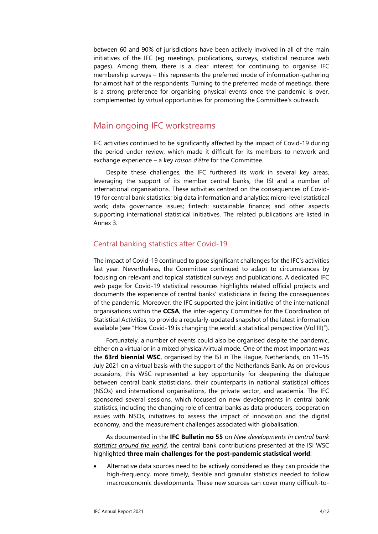between 60 and 90% of jurisdictions have been actively involved in all of the main initiatives of the IFC (eg meetings, publications, surveys, statistical resource web pages). Among them, there is a clear interest for continuing to organise IFC membership surveys – this represents the preferred mode of information-gathering for almost half of the respondents. Turning to the preferred mode of meetings, there is a strong preference for organising physical events once the pandemic is over, complemented by virtual opportunities for promoting the Committee's outreach.

### <span id="page-6-0"></span>Main ongoing IFC workstreams

IFC activities continued to be significantly affected by the impact of Covid-19 during the period under review, which made it difficult for its members to network and exchange experience – a key *raison d'être* for the Committee.

Despite these challenges, the IFC furthered its work in several key areas, leveraging the support of its member central banks, the ISI and a number of international organisations. These activities centred on the consequences of Covid-19 for central bank statistics; big data information and analytics; micro-level statistical work; data governance issues; fintech; sustainable finance; and other aspects supporting international statistical initiatives. The related publications are listed in Annex 3.

#### <span id="page-6-1"></span>Central banking statistics after Covid-19

The impact of Covid-19 continued to pose significant challenges for the IFC's activities last year. Nevertheless, the Committee continued to adapt to circumstances by focusing on relevant and topical statistical surveys and publications. A dedicated IFC web page for [Covid-19 statistical resources h](https://www.bis.org/ifc/covid19.htm)ighlights related official projects and documents the experience of central banks' statisticians in facing the consequences of the pandemic. Moreover, the IFC supported the joint initiative of the international organisations within the **CCSA**, the inter-agency Committee for the Coordination of Statistical Activities, to provide a regularly-updated snapshot of the latest information available (see ["How Covid-19 is changing the world: a statistical perspective \(Vol III\)](https://unstats.un.org/unsd/ccsa/documents/covid19-report-ccsa_vol3.pdf)").

Fortunately, a number of events could also be organised despite the pandemic, either on a virtual or in a mixed physical/virtual mode. One of the most important was the **63rd biennial WSC**, organised by the ISI in The Hague, Netherlands, on 11–15 July 2021 on a virtual basis with the support of the Netherlands Bank. As on previous occasions, this WSC represented a key opportunity for deepening the dialogue between central bank statisticians, their counterparts in national statistical offices (NSOs) and international organisations, the private sector, and academia. The IFC sponsored several sessions, which focused on new developments in central bank statistics, including the changing role of central banks as data producers, cooperation issues with NSOs, initiatives to assess the impact of innovation and the digital economy, and the measurement challenges associated with globalisation.

As documented in the **IFC Bulletin no 55** on *[New developments in central bank](https://www.bis.org/ifc/publ/ifcb55.htm)  [statistics around the world](https://www.bis.org/ifc/publ/ifcb55.htm)*, the central bank contributions presented at the ISI WSC highlighted **three main challenges for the post-pandemic statistical world**:

• Alternative data sources need to be actively considered as they can provide the high-frequency, more timely, flexible and granular statistics needed to follow macroeconomic developments. These new sources can cover many difficult-to-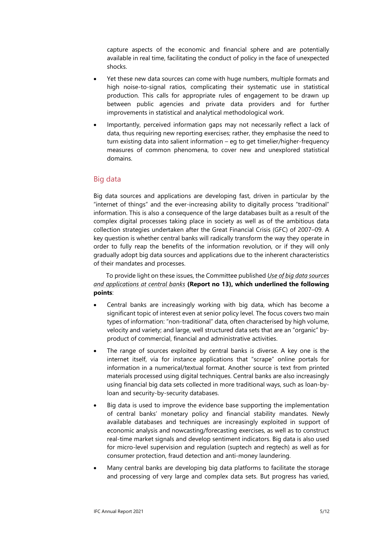capture aspects of the economic and financial sphere and are potentially available in real time, facilitating the conduct of policy in the face of unexpected shocks.

- Yet these new data sources can come with huge numbers, multiple formats and high noise-to-signal ratios, complicating their systematic use in statistical production. This calls for appropriate rules of engagement to be drawn up between public agencies and private data providers and for further improvements in statistical and analytical methodological work.
- Importantly, perceived information gaps may not necessarily reflect a lack of data, thus requiring new reporting exercises; rather, they emphasise the need to turn existing data into salient information – eg to get timelier/higher-frequency measures of common phenomena, to cover new and unexplored statistical domains.

#### <span id="page-7-0"></span>Big data

Big data sources and applications are developing fast, driven in particular by the "internet of things" and the ever-increasing ability to digitally process "traditional" information. This is also a consequence of the large databases built as a result of the complex digital processes taking place in society as well as of the ambitious data collection strategies undertaken after the Great Financial Crisis (GFC) of 2007–09. A key question is whether central banks will radically transform the way they operate in order to fully reap the benefits of the information revolution, or if they will only gradually adopt big data sources and applications due to the inherent characteristics of their mandates and processes.

To provide light on these issues, the Committee published *[Use of big data sources](https://www.bis.org/ifc/publ/ifc_report_13.pdf)  [and applications at central banks](https://www.bis.org/ifc/publ/ifc_report_13.pdf)* **(Report no 13), which underlined the following points**:

- Central banks are increasingly working with big data, which has become a significant topic of interest even at senior policy level. The focus covers two main types of information: "non-traditional" data, often characterised by high volume, velocity and variety; and large, well structured data sets that are an "organic" byproduct of commercial, financial and administrative activities.
- The range of sources exploited by central banks is diverse. A key one is the internet itself, via for instance applications that "scrape" online portals for information in a numerical/textual format. Another source is text from printed materials processed using digital techniques. Central banks are also increasingly using financial big data sets collected in more traditional ways, such as loan-byloan and security-by-security databases.
- Big data is used to improve the evidence base supporting the implementation of central banks' monetary policy and financial stability mandates. Newly available databases and techniques are increasingly exploited in support of economic analysis and nowcasting/forecasting exercises, as well as to construct real-time market signals and develop sentiment indicators. Big data is also used for micro-level supervision and regulation (suptech and regtech) as well as for consumer protection, fraud detection and anti-money laundering.
- Many central banks are developing big data platforms to facilitate the storage and processing of very large and complex data sets. But progress has varied,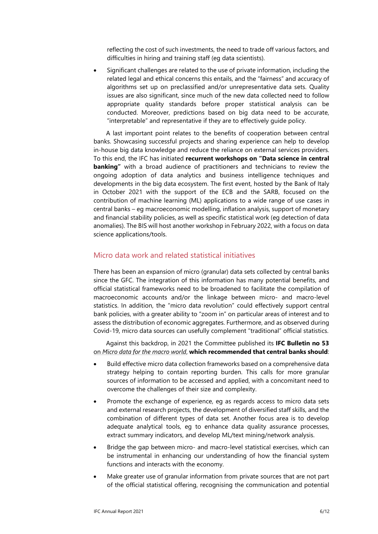reflecting the cost of such investments, the need to trade off various factors, and difficulties in hiring and training staff (eg data scientists).

• Significant challenges are related to the use of private information, including the related legal and ethical concerns this entails, and the "fairness" and accuracy of algorithms set up on preclassified and/or unrepresentative data sets. Quality issues are also significant, since much of the new data collected need to follow appropriate quality standards before proper statistical analysis can be conducted. Moreover, predictions based on big data need to be accurate, "interpretable" and representative if they are to effectively guide policy.

A last important point relates to the benefits of cooperation between central banks. Showcasing successful projects and sharing experience can help to develop in-house big data knowledge and reduce the reliance on external services providers. To this end, the IFC has initiated **recurrent workshops on "Data science in central banking"** with a broad audience of practitioners and technicians to review the ongoing adoption of data analytics and business intelligence techniques and developments in the big data ecosystem. The first event, hosted by the Bank of Italy in October 2021 with the support of the ECB and the SARB, focused on the contribution of machine learning (ML) applications to a wide range of use cases in central banks – eg macroeconomic modelling, inflation analysis, support of monetary and financial stability policies, as well as specific statistical work (eg detection of data anomalies). The BIS will host another workshop in February 2022, with a focus on data science applications/tools.

#### <span id="page-8-0"></span>Micro data work and related statistical initiatives

There has been an expansion of micro (granular) data sets collected by central banks since the GFC. The integration of this information has many potential benefits, and official statistical frameworks need to be broadened to facilitate the compilation of macroeconomic accounts and/or the linkage between micro- and macro-level statistics. In addition, the "micro data revolution" could effectively support central bank policies, with a greater ability to "zoom in" on particular areas of interest and to assess the distribution of economic aggregates. Furthermore, and as observed during Covid-19, micro data sources can usefully complement "traditional" official statistics.

Against this backdrop, in 2021 the Committee published its **IFC Bulletin no 53**  on *Micro data for the macro world*, **which recommended that central banks should**:

- Build effective micro data collection frameworks based on a comprehensive data strategy helping to contain reporting burden. This calls for more granular sources of information to be accessed and applied, with a concomitant need to overcome the challenges of their size and complexity.
- Promote the exchange of experience, eg as regards access to micro data sets and external research projects, the development of diversified staff skills, and the combination of different types of data set. Another focus area is to develop adequate analytical tools, eg to enhance data quality assurance processes, extract summary indicators, and develop ML/text mining/network analysis.
- Bridge the gap between micro- and macro-level statistical exercises, which can be instrumental in enhancing our understanding of how the financial system functions and interacts with the economy.
- Make greater use of granular information from private sources that are not part of the official statistical offering, recognising the communication and potential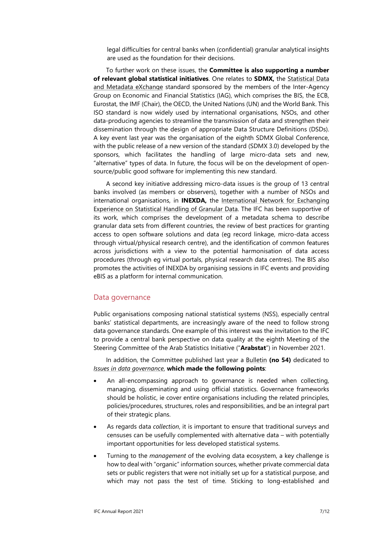legal difficulties for central banks when (confidential) granular analytical insights are used as the foundation for their decisions.

To further work on these issues, the **Committee is also supporting a number of relevant global statistical initiatives**. One relates to **SDMX,** the [Statistical Data](https://sdmx.org/)  [and Metadata eXchange](https://sdmx.org/) standard sponsored by the members of the Inter-Agency Group on Economic and Financial Statistics (IAG), which comprises the BIS, the ECB, Eurostat, the IMF (Chair), the OECD, the United Nations (UN) and the World Bank. This ISO standard is now widely used by international organisations, NSOs, and other data-producing agencies to streamline the transmission of data and strengthen their dissemination through the design of appropriate Data Structure Definitions (DSDs). A key event last year was the organisation of the eighth SDMX Global Conference, with the public release of a new version of the standard (SDMX 3.0) developed by the sponsors, which facilitates the handling of large micro-data sets and new, "alternative" types of data. In future, the focus will be on the development of opensource/public good software for implementing this new standard.

A second key initiative addressing micro-data issues is the group of 13 central banks involved (as members or observers), together with a number of NSOs and international organisations, in **INEXDA,** the [International Network for Exchanging](https://www.inexda.org/)  [Experience on Statistical Handling of Granular Data.](https://www.inexda.org/) The IFC has been supportive of its work, which comprises the development of a metadata schema to describe granular data sets from different countries, the review of best practices for granting access to open software solutions and data (eg record linkage, micro-data access through virtual/physical research centre), and the identification of common features across jurisdictions with a view to the potential harmonisation of data access procedures (through eg virtual portals, physical research data centres). The BIS also promotes the activities of INEXDA by organising sessions in IFC events and providing eBIS as a platform for internal communication.

#### <span id="page-9-0"></span>Data governance

Public organisations composing national statistical systems (NSS), especially central banks' statistical departments, are increasingly aware of the need to follow strong data governance standards. One example of this interest was the invitation to the IFC to provide a central bank perspective on data quality at the eighth Meeting of the Steering Committee of the Arab Statistics Initiative ("**Arabstat**") in November 2021.

In addition, the Committee published last year a [Bulletin](https://www.bis.org/ifc/publ/ifcb54.htm) **(no 54)** dedicated to *[Issues in data governance](https://www.bis.org/ifc/publ/ifcb54.htm)*, **which made the following points**:

- An all-encompassing approach to governance is needed when collecting, managing, disseminating and using official statistics. Governance frameworks should be holistic, ie cover entire organisations including the related principles, policies/procedures, structures, roles and responsibilities, and be an integral part of their strategic plans.
- As regards data *collection*, it is important to ensure that traditional surveys and censuses can be usefully complemented with alternative data – with potentially important opportunities for less developed statistical systems.
- Turning to the *management* of the evolving data ecosystem, a key challenge is how to deal with "organic" information sources, whether private commercial data sets or public registers that were not initially set up for a statistical purpose, and which may not pass the test of time. Sticking to long-established and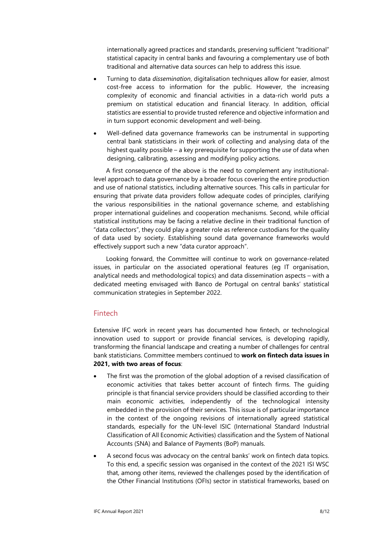internationally agreed practices and standards, preserving sufficient "traditional" statistical capacity in central banks and favouring a complementary use of both traditional and alternative data sources can help to address this issue.

- Turning to data *dissemination*, digitalisation techniques allow for easier, almost cost-free access to information for the public. However, the increasing complexity of economic and financial activities in a data-rich world puts a premium on statistical education and financial literacy. In addition, official statistics are essential to provide trusted reference and objective information and in turn support economic development and well-being.
- Well-defined data governance frameworks can be instrumental in supporting central bank statisticians in their work of collecting and analysing data of the highest quality possible – a key prerequisite for supporting the *use* of data when designing, calibrating, assessing and modifying policy actions.

A first consequence of the above is the need to complement any institutionallevel approach to data governance by a broader focus covering the entire production and use of national statistics, including alternative sources. This calls in particular for ensuring that private data providers follow adequate codes of principles, clarifying the various responsibilities in the national governance scheme, and establishing proper international guidelines and cooperation mechanisms. Second, while official statistical institutions may be facing a relative decline in their traditional function of "data collectors", they could play a greater role as reference custodians for the quality of data used by society. Establishing sound data governance frameworks would effectively support such a new "data curator approach".

Looking forward, the Committee will continue to work on governance-related issues, in particular on the associated operational features (eg IT organisation, analytical needs and methodological topics) and data dissemination aspects – with a dedicated meeting envisaged with Banco de Portugal on central banks' statistical communication strategies in September 2022.

#### <span id="page-10-0"></span>Fintech

Extensive IFC work in recent years has documented how fintech, or technological innovation used to support or provide financial services, is developing rapidly, transforming the financial landscape and creating a number of challenges for central bank statisticians. Committee members continued to **work on fintech data issues in 2021, with two areas of focus**:

- The first was the promotion of the global adoption of a revised classification of economic activities that takes better account of fintech firms. The guiding principle is that financial service providers should be classified according to their main economic activities, independently of the technological intensity embedded in the provision of their services. This issue is of particular importance in the context of the ongoing revisions of internationally agreed statistical standards, especially for the UN-level ISIC (International Standard Industrial Classification of All Economic Activities) classification and the System of National Accounts (SNA) and Balance of Payments (BoP) manuals.
- A second focus was advocacy on the central banks' work on fintech data topics. To this end, a specific session was organised in the context of the 2021 ISI WSC that, among other items, reviewed the challenges posed by the identification of the Other Financial Institutions (OFIs) sector in statistical frameworks, based on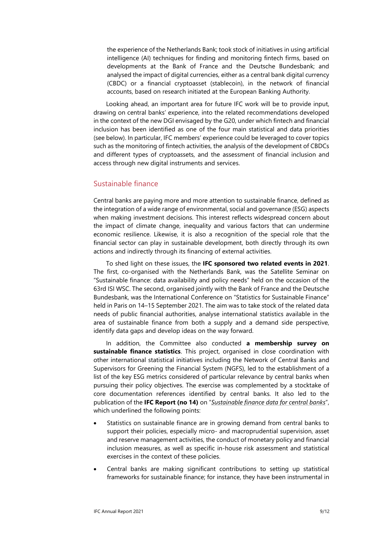the experience of the Netherlands Bank; took stock of initiatives in using artificial intelligence (AI) techniques for finding and monitoring fintech firms, based on developments at the Bank of France and the Deutsche Bundesbank; and analysed the impact of digital currencies, either as a central bank digital currency (CBDC) or a financial cryptoasset (stablecoin), in the network of financial accounts, based on research initiated at the European Banking Authority.

Looking ahead, an important area for future IFC work will be to provide input, drawing on central banks' experience, into the related recommendations developed in the context of the new DGI envisaged by the G20, under which fintech and financial inclusion has been identified as one of the four main statistical and data priorities (see below). In particular, IFC members' experience could be leveraged to cover topics such as the monitoring of fintech activities, the analysis of the development of CBDCs and different types of cryptoassets, and the assessment of financial inclusion and access through new digital instruments and services.

#### <span id="page-11-0"></span>Sustainable finance

Central banks are paying more and more attention to sustainable finance, defined as the integration of a wide range of environmental, social and governance (ESG) aspects when making investment decisions. This interest reflects widespread concern about the impact of climate change, inequality and various factors that can undermine economic resilience. Likewise, it is also a recognition of the special role that the financial sector can play in sustainable development, both directly through its own actions and indirectly through its financing of external activities.

To shed light on these issues, the **IFC sponsored two related events in 2021**. The first, co-organised with the Netherlands Bank, was the Satellite Seminar on "Sustainable finance: data availability and policy needs" held on the occasion of the 63rd ISI WSC. The second, organised jointly with the Bank of France and the Deutsche Bundesbank, was the International Conference on "Statistics for Sustainable Finance" held in Paris on 14–15 September 2021. The aim was to take stock of the related data needs of public financial authorities, analyse international statistics available in the area of sustainable finance from both a supply and a demand side perspective, identify data gaps and develop ideas on the way forward.

In addition, the Committee also conducted **a membership survey on sustainable finance statistics**. This project, organised in close coordination with other international statistical initiatives including the Network of Central Banks and Supervisors for Greening the Financial System (NGFS), led to the establishment of a list of the key ESG metrics considered of particular relevance by central banks when pursuing their policy objectives. The exercise was complemented by a stocktake of core documentation references identified by central banks. It also led to the publication of the **IFC Report (no 14)** on "*[Sustainable finance data for central banks](https://www.bis.org/ifc/publ/ifc_report_14.htm)*", which underlined the following points:

- Statistics on sustainable finance are in growing demand from central banks to support their policies, especially micro- and macroprudential supervision, asset and reserve management activities, the conduct of monetary policy and financial inclusion measures, as well as specific in-house risk assessment and statistical exercises in the context of these policies.
- Central banks are making significant contributions to setting up statistical frameworks for sustainable finance; for instance, they have been instrumental in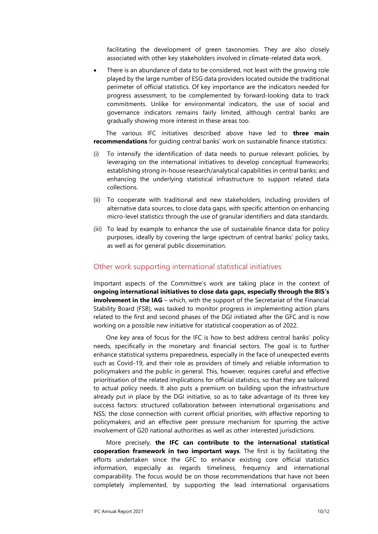facilitating the development of green taxonomies. They are also closely associated with other key stakeholders involved in climate-related data work.

There is an abundance of data to be considered, not least with the growing role played by the large number of ESG data providers located outside the traditional perimeter of official statistics. Of key importance are the indicators needed for progress assessment, to be complemented by forward-looking data to track commitments. Unlike for environmental indicators, the use of social and governance indicators remains fairly limited, although central banks are gradually showing more interest in these areas too.

The various IFC initiatives described above have led to **three main recommendations** for guiding central banks' work on sustainable finance statistics:

- (i) To intensify the identification of data needs to pursue relevant policies, by leveraging on the international initiatives to develop conceptual frameworks; establishing strong in-house research/analytical capabilities in central banks; and enhancing the underlying statistical infrastructure to support related data collections.
- (ii) To cooperate with traditional and new stakeholders, including providers of alternative data sources, to close data gaps, with specific attention on enhancing micro-level statistics through the use of granular identifiers and data standards.
- (iii) To lead by example to enhance the use of sustainable finance data for policy purposes, ideally by covering the large spectrum of central banks' policy tasks, as well as for general public dissemination.

#### <span id="page-12-0"></span>Other work supporting international statistical initiatives

Important aspects of the Committee's work are taking place in the context of **ongoing international initiatives to close data gaps, especially through the BIS's involvement in the IAG** – which, with the support of the Secretariat of the Financial Stability Board (FSB), was tasked to monitor progress in implementing action plans related to the first and second phases of the DGI initiated after the GFC and is now working on a possible new initiative for statistical cooperation as of 2022.

One key area of focus for the IFC is how to best address central banks' policy needs, specifically in the monetary and financial sectors. The goal is to further enhance statistical systems preparedness, especially in the face of unexpected events such as Covid-19, and their role as providers of timely and reliable information to policymakers and the public in general. This, however, requires careful and effective prioritisation of the related implications for official statistics, so that they are tailored to actual policy needs. It also puts a premium on building upon the infrastructure already put in place by the DGI initiative, so as to take advantage of its three key success factors: structured collaboration between international organisations and NSS; the close connection with current official priorities, with effective reporting to policymakers; and an effective peer pressure mechanism for spurring the active involvement of G20 national authorities as well as other interested jurisdictions.

More precisely, **the IFC can contribute to the international statistical cooperation framework in two important ways**. The first is by facilitating the efforts undertaken since the GFC to enhance existing core official statistics information, especially as regards timeliness, frequency and international comparability. The focus would be on those recommendations that have not been completely implemented, by supporting the lead international organisations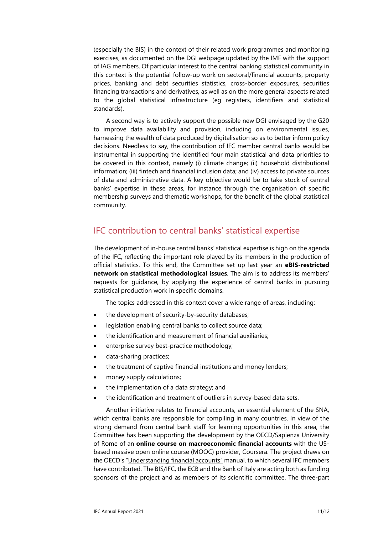(especially the BIS) in the context of their related work programmes and monitoring exercises, as documented on the [DGI webpage](https://www.imf.org/en/News/Seminars/Conferences/g20-data-gaps-initiative) updated by the IMF with the support of IAG members. Of particular interest to the central banking statistical community in this context is the potential follow-up work on sectoral/financial accounts, property prices, banking and debt securities statistics, cross-border exposures, securities financing transactions and derivatives, as well as on the more general aspects related to the global statistical infrastructure (eg registers, identifiers and statistical standards).

A second way is to actively support the possible new DGI envisaged by the G20 to improve data availability and provision, including on environmental issues, harnessing the wealth of data produced by digitalisation so as to better inform policy decisions. Needless to say, the contribution of IFC member central banks would be instrumental in supporting the identified four main statistical and data priorities to be covered in this context, namely (i) climate change; (ii) household distributional information; (iii) fintech and financial inclusion data; and (iv) access to private sources of data and administrative data. A key objective would be to take stock of central banks' expertise in these areas, for instance through the organisation of specific membership surveys and thematic workshops, for the benefit of the global statistical community.

### <span id="page-13-0"></span>IFC contribution to central banks' statistical expertise

The development of in-house central banks' statistical expertise is high on the agenda of the IFC, reflecting the important role played by its members in the production of official statistics. To this end, the Committee set up last year an **eBIS-restricted network on statistical methodological issues**. The aim is to address its members' requests for guidance, by applying the experience of central banks in pursuing statistical production work in specific domains.

The topics addressed in this context cover a wide range of areas, including:

- the development of security-by-security databases;
- legislation enabling central banks to collect source data;
- the identification and measurement of financial auxiliaries;
- enterprise survey best-practice methodology;
- data-sharing practices;
- the treatment of captive financial institutions and money lenders;
- money supply calculations;
- the implementation of a data strategy; and
- the identification and treatment of outliers in survey-based data sets.

Another initiative relates to financial accounts, an essential element of the SNA, which central banks are responsible for compiling in many countries. In view of the strong demand from central bank staff for learning opportunities in this area, the Committee has been supporting the development by the OECD/Sapienza University of Rome of an **online course on macroeconomic financial accounts** with the USbased massive open online course (MOOC) provider, Coursera. The project draws on the OECD's ["Understanding financial accounts"](https://www.oecd-ilibrary.org/economics/understanding-financial-accounts_9789264281288-en) manual, to which several IFC members have contributed. The BIS/IFC, the ECB and the Bank of Italy are acting both as funding sponsors of the project and as members of its scientific committee. The three-part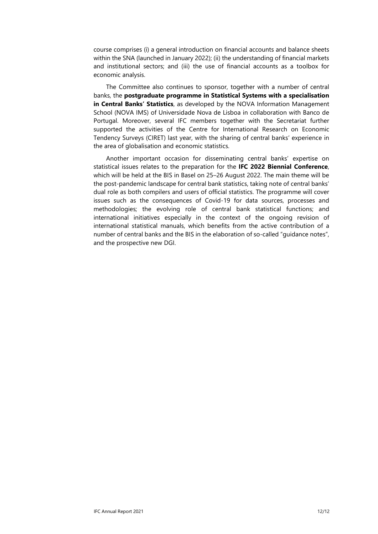course comprises (i) a general introduction on financial accounts and balance sheets within the SNA (launched in January 2022); (ii) the understanding of financial markets and institutional sectors; and (iii) the use of financial accounts as a toolbox for economic analysis.

The Committee also continues to sponsor, together with a number of central banks, the **postgraduate programme in Statistical Systems with a specialisation in Central Banks' Statistics**, as developed by the NOVA Information Management School (NOVA IMS) of Universidade Nova de Lisboa in collaboration with Banco de Portugal. Moreover, several IFC members together with the Secretariat further supported the activities of the Centre for International Research on Economic Tendency Surveys (CIRET) last year, with the sharing of central banks' experience in the area of globalisation and economic statistics.

Another important occasion for disseminating central banks' expertise on statistical issues relates to the preparation for the **IFC 2022 Biennial Conference**, which will be held at the BIS in Basel on 25–26 August 2022. The main theme will be the post-pandemic landscape for central bank statistics, taking note of central banks' dual role as both compilers and users of official statistics. The programme will cover issues such as the consequences of Covid-19 for data sources, processes and methodologies; the evolving role of central bank statistical functions; and international initiatives especially in the context of the ongoing revision of international statistical manuals, which benefits from the active contribution of a number of central banks and the BIS in the elaboration of so-called "guidance notes", and the prospective new DGI.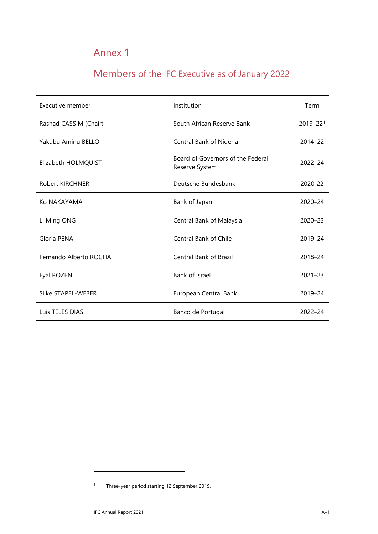## Annex 1

# <span id="page-15-0"></span>Members of the IFC Executive as of January 2022

| Executive member       | Institution                                         | Term         |
|------------------------|-----------------------------------------------------|--------------|
| Rashad CASSIM (Chair)  | South African Reserve Bank                          | $2019 - 221$ |
| Yakubu Aminu BELLO     | Central Bank of Nigeria                             | $2014 - 22$  |
| Elizabeth HOLMQUIST    | Board of Governors of the Federal<br>Reserve System | $2022 - 24$  |
| Robert KIRCHNER        | Deutsche Bundesbank                                 | 2020-22      |
| Ko NAKAYAMA            | Bank of Japan                                       | $2020 - 24$  |
| Li Ming ONG            | Central Bank of Malaysia                            | 2020-23      |
| Gloria PENA            | <b>Central Bank of Chile</b>                        | $2019 - 24$  |
| Fernando Alberto ROCHA | <b>Central Bank of Brazil</b>                       | 2018-24      |
| Eyal ROZEN             | Bank of Israel                                      | $2021 - 23$  |
| Silke STAPEL-WEBER     | European Central Bank                               | 2019-24      |
| Luís TELES DIAS        | Banco de Portugal                                   | $2022 - 24$  |

<span id="page-15-1"></span><sup>1</sup> Three-year period starting 12 September 2019.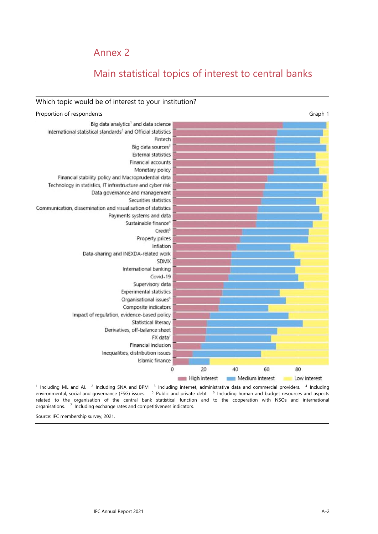## Annex 2

## <span id="page-16-0"></span>Main statistical topics of interest to central banks



<sup>1</sup> Including ML and Al. <sup>2</sup> Including SNA and BPM <sup>3</sup> Including internet, administrative data and commercial providers. <sup>4</sup> Including environmental, social and governance (ESG) issues. <sup>5</sup> Public and private debt. <sup>6</sup> Including human and budget resources and aspects related to the organisation of the central bank statistical function and to the cooperation with NSOs and international organisations. <sup>7</sup> Including exchange rates and competitiveness indicators.

Source: IFC membership survey, 2021.